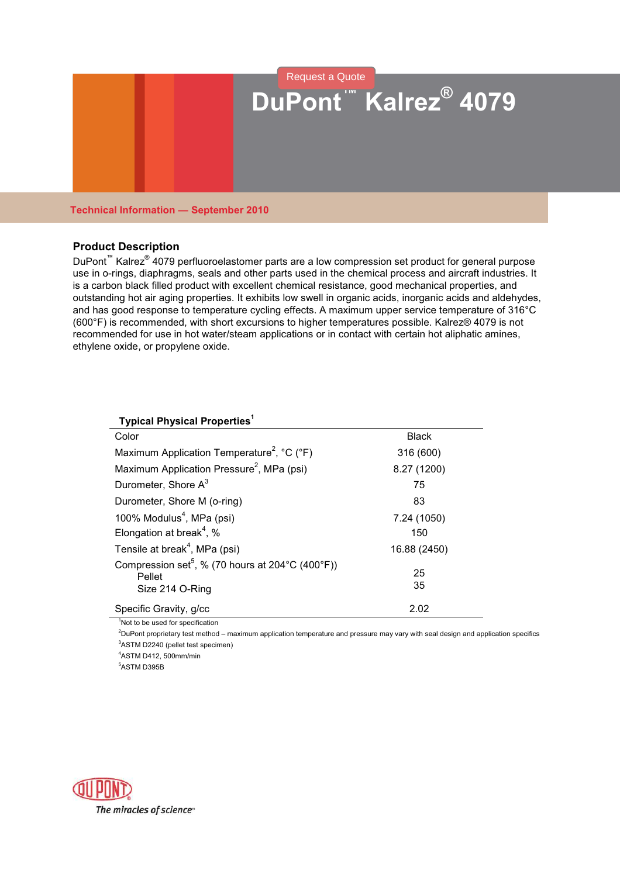

## **Technical Information — September 2010**

## **Product Description**

DuPont<sup>™</sup> Kalrez<sup>®</sup> 4079 perfluoroelastomer parts are a low compression set product for general purpose use in o-rings, diaphragms, seals and other parts used in the chemical process and aircraft industries. It is a carbon black filled product with excellent chemical resistance, good mechanical properties, and outstanding hot air aging properties. It exhibits low swell in organic acids, inorganic acids and aldehydes, and has good response to temperature cycling effects. A maximum upper service temperature of 316°C (600°F) is recommended, with short excursions to higher temperatures possible. Kalrez® 4079 is not recommended for use in hot water/steam applications or in contact with certain hot aliphatic amines, ethylene oxide, or propylene oxide.

| <b>Typical Physical Properties<sup>1</sup></b>                                              |              |
|---------------------------------------------------------------------------------------------|--------------|
| Color                                                                                       | <b>Black</b> |
| Maximum Application Temperature <sup>2</sup> , °C (°F)                                      | 316 (600)    |
| Maximum Application Pressure <sup>2</sup> , MPa (psi)                                       | 8.27 (1200)  |
| Durometer, Shore A <sup>3</sup>                                                             | 75           |
| Durometer, Shore M (o-ring)                                                                 | 83           |
| 100% Modulus <sup>4</sup> , MPa (psi)                                                       | 7.24 (1050)  |
| Elongation at break <sup>4</sup> , %                                                        | 150          |
| Tensile at break <sup>4</sup> , MPa (psi)                                                   | 16.88 (2450) |
| Compression set <sup>5</sup> , % (70 hours at 204 °C (400 °F))<br>Pellet<br>Size 214 O-Ring | 25<br>35     |
| Specific Gravity, g/cc                                                                      | 2.02         |

<sup>1</sup>Not to be used for specification

<sup>2</sup>DuPont proprietary test method – maximum application temperature and pressure may vary with seal design and application specifics <sup>3</sup>ASTM D2240 (pellet test specimen)

<sup>4</sup>ASTM D412, 500mm/min

<sup>5</sup>ASTM D395B